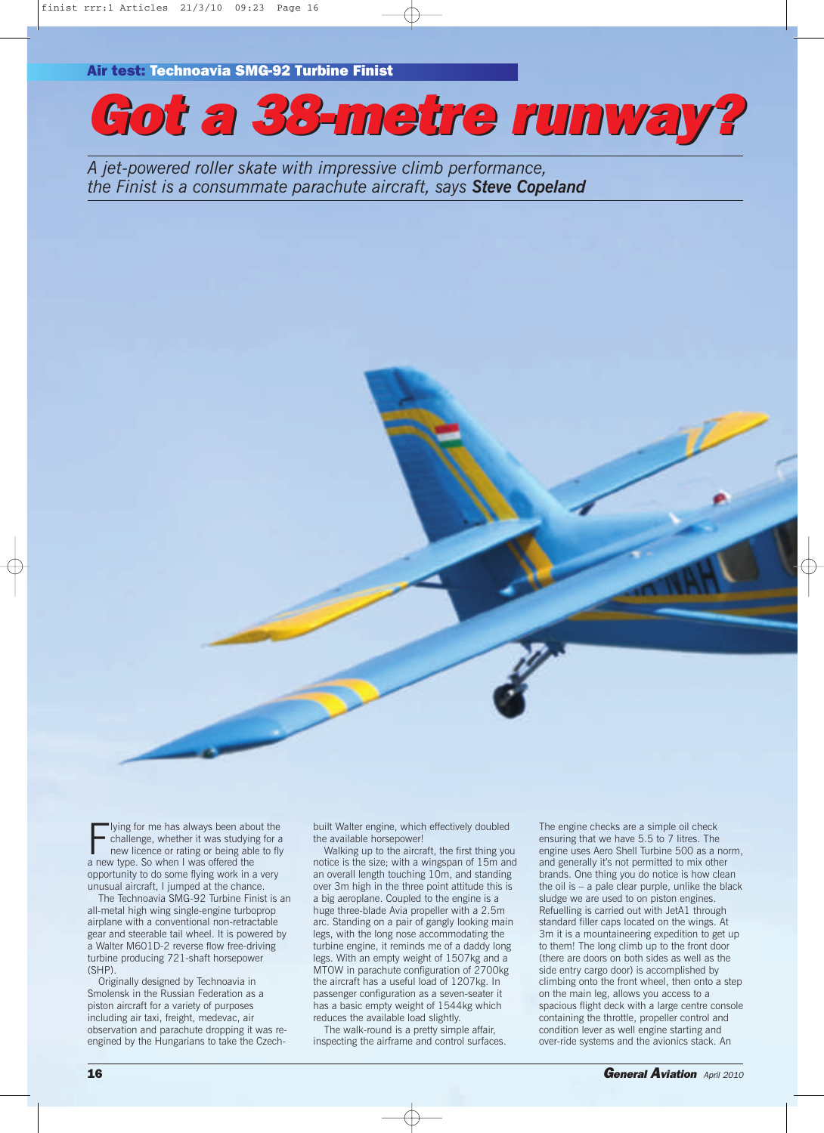**Air test: Technoavia SMG-92 Turbine Finist**

*Got a 38-metr 38-metre runway? runway?*

*A jet-powered roller skate with impressive climb performance, the Finist is a consummate parachute aircraft, says Steve Copeland*



I ying for me has always been abcombination when it was study<br>in the it was studying new licence or rating or being able<br>a new type. So when I was offered the lying for me has always been about the challenge, whether it was studying for a new licence or rating or being able to fly opportunity to do some flying work in a very unusual aircraft, I jumped at the chance.

The Technoavia SMG-92 Turbine Finist is an all-metal high wing single-engine turboprop airplane with a conventional non-retractable gear and steerable tail wheel. It is powered by a Walter M601D-2 reverse flow free-driving turbine producing 721-shaft horsepower (SHP).

Originally designed by Technoavia in Smolensk in the Russian Federation as a piston aircraft for a variety of purposes including air taxi, freight, medevac, air observation and parachute dropping it was reengined by the Hungarians to take the Czechbuilt Walter engine, which effectively doubled the available horsepower!

Walking up to the aircraft, the first thing you notice is the size; with a wingspan of 15m and an overall length touching 10m, and standing over 3m high in the three point attitude this is a big aeroplane. Coupled to the engine is a huge three-blade Avia propeller with a 2.5m arc. Standing on a pair of gangly looking main legs, with the long nose accommodating the turbine engine, it reminds me of a daddy long legs. With an empty weight of 1507kg and a MTOW in parachute configuration of 2700kg the aircraft has a useful load of 1207kg. In passenger configuration as a seven-seater it has a basic empty weight of 1544kg which reduces the available load slightly.

The walk-round is a pretty simple affair, inspecting the airframe and control surfaces. The engine checks are a simple oil check ensuring that we have 5.5 to 7 litres. The engine uses Aero Shell Turbine 500 as a norm, and generally it's not permitted to mix other brands. One thing you do notice is how clean the oil is – a pale clear purple, unlike the black sludge we are used to on piston engines. Refuelling is carried out with JetA1 through standard filler caps located on the wings. At 3m it is a mountaineering expedition to get up to them! The long climb up to the front door (there are doors on both sides as well as the side entry cargo door) is accomplished by climbing onto the front wheel, then onto a step on the main leg, allows you access to a spacious flight deck with a large centre console containing the throttle, propeller control and condition lever as well engine starting and over-ride systems and the avionics stack. An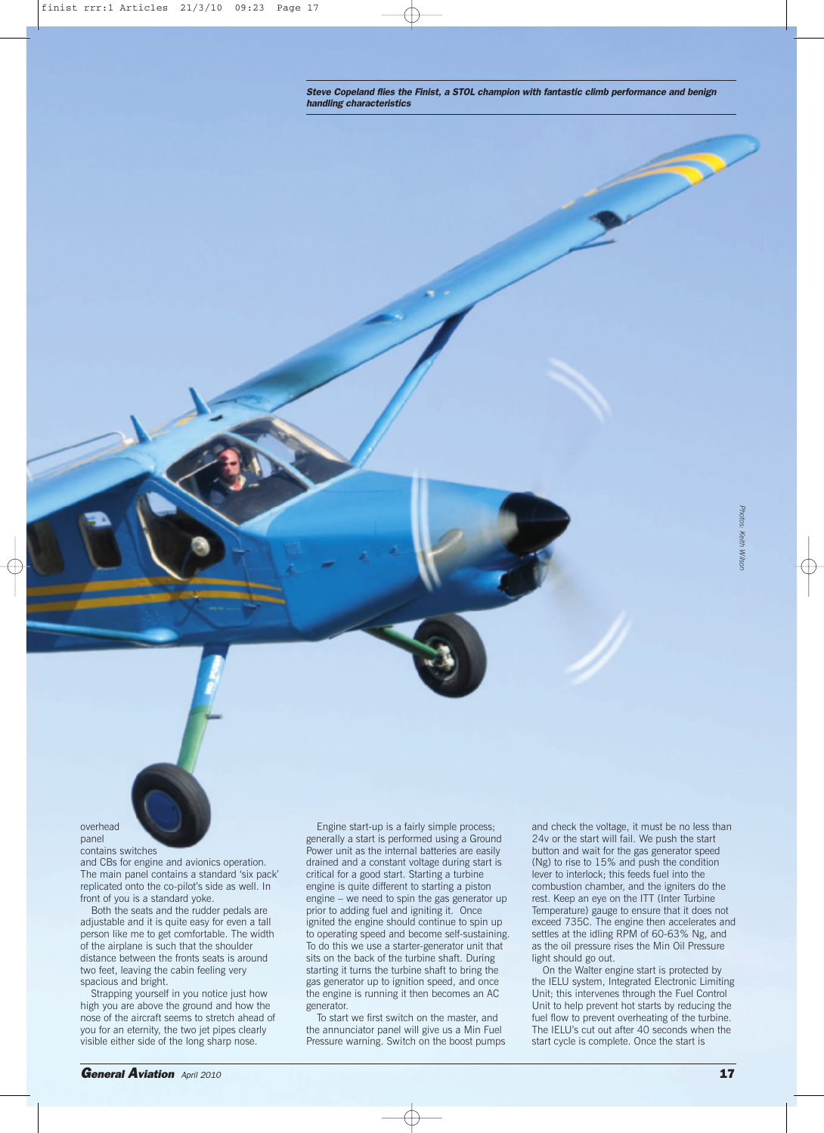*Steve Copeland flies the Finist, a STOL champion with fantastic climb performance and benign handling characteristics*

## overhead panel contains switches

and CBs for engine and avionics operation. The main panel contains a standard 'six pack' replicated onto the co-pilot's side as well. In front of you is a standard yoke.

Both the seats and the rudder pedals are adjustable and it is quite easy for even a tall person like me to get comfortable. The width of the airplane is such that the shoulder distance between the fronts seats is around two feet, leaving the cabin feeling very spacious and bright.

Strapping yourself in you notice just how high you are above the ground and how the nose of the aircraft seems to stretch ahead of you for an eternity, the two jet pipes clearly visible either side of the long sharp nose.

Engine start-up is a fairly simple process; generally a start is performed using a Ground Power unit as the internal batteries are easily drained and a constant voltage during start is critical for a good start. Starting a turbine engine is quite different to starting a piston engine – we need to spin the gas generator up prior to adding fuel and igniting it. Once ignited the engine should continue to spin up to operating speed and become self-sustaining. To do this we use a starter-generator unit that sits on the back of the turbine shaft. During starting it turns the turbine shaft to bring the gas generator up to ignition speed, and once the engine is running it then becomes an AC generator.

To start we first switch on the master, and the annunciator panel will give us a Min Fuel Pressure warning. Switch on the boost pumps and check the voltage, it must be no less than 24v or the start will fail. We push the start button and wait for the gas generator speed (Ng) to rise to 15% and push the condition lever to interlock; this feeds fuel into the combustion chamber, and the igniters do the rest. Keep an eye on the ITT (Inter Turbine Temperature) gauge to ensure that it does not exceed 735C. The engine then accelerates and settles at the idling RPM of 60-63% Ng, and as the oil pressure rises the Min Oil Pressure light should go out.

On the Walter engine start is protected by the IELU system, Integrated Electronic Limiting Unit; this intervenes through the Fuel Control Unit to help prevent hot starts by reducing the fuel flow to prevent overheating of the turbine. The IELU's cut out after 40 seconds when the start cycle is complete. Once the start is

*Photos: Keith Wilson*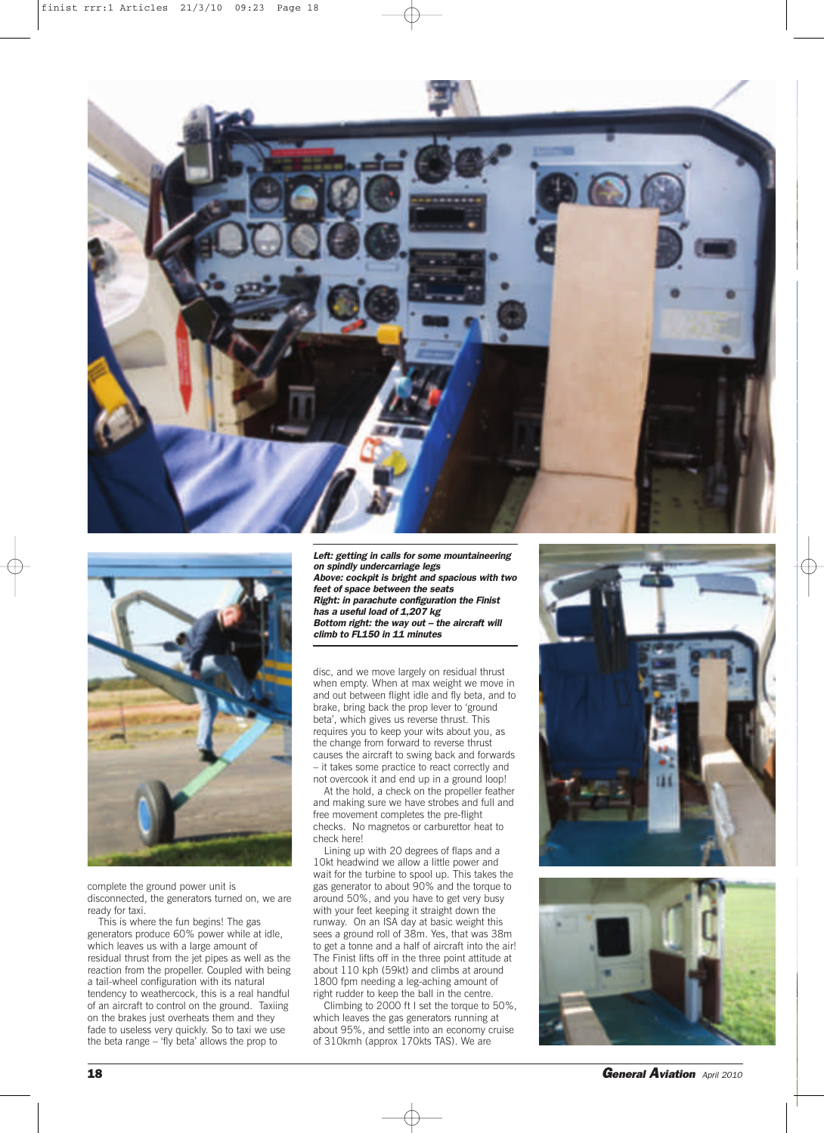



complete the ground power unit is disconnected, the generators turned on, we are ready for taxi.

This is where the fun begins! The gas generators produce 60% power while at idle, which leaves us with a large amount of residual thrust from the jet pipes as well as the reaction from the propeller. Coupled with being a tail-wheel configuration with its natural tendency to weathercock, this is a real handful of an aircraft to control on the ground. Taxiing on the brakes just overheats them and they fade to useless very quickly. So to taxi we use the beta range – 'fly beta' allows the prop to

*Left: getting in calls for some mountaineering on spindly undercarriage legs Above: cockpit is bright and spacious with two feet of space between the seats Right: in parachute configuration the Finist has a useful load of 1,207 kg Bottom right: the way out – the aircraft will climb to FL150 in 11 minutes*

disc, and we move largely on residual thrust when empty. When at max weight we move in and out between flight idle and fly beta, and to brake, bring back the prop lever to 'ground beta', which gives us reverse thrust. This requires you to keep your wits about you, as the change from forward to reverse thrust causes the aircraft to swing back and forwards – it takes some practice to react correctly and not overcook it and end up in a ground loop!

At the hold, a check on the propeller feather and making sure we have strobes and full and free movement completes the pre-flight checks. No magnetos or carburettor heat to check here!

Lining up with 20 degrees of flaps and a 10kt headwind we allow a little power and wait for the turbine to spool up. This takes the gas generator to about 90% and the torque to around 50%, and you have to get very busy with your feet keeping it straight down the runway. On an ISA day at basic weight this sees a ground roll of 38m. Yes, that was 38m to get a tonne and a half of aircraft into the air! The Finist lifts off in the three point attitude at about 110 kph (59kt) and climbs at around 1800 fpm needing a leg-aching amount of right rudder to keep the ball in the centre.

Climbing to 2000 ft I set the torque to 50%, which leaves the gas generators running at about 95%, and settle into an economy cruise of 310kmh (approx 170kts TAS). We are





**18** *General Aviation April <sup>2010</sup>*